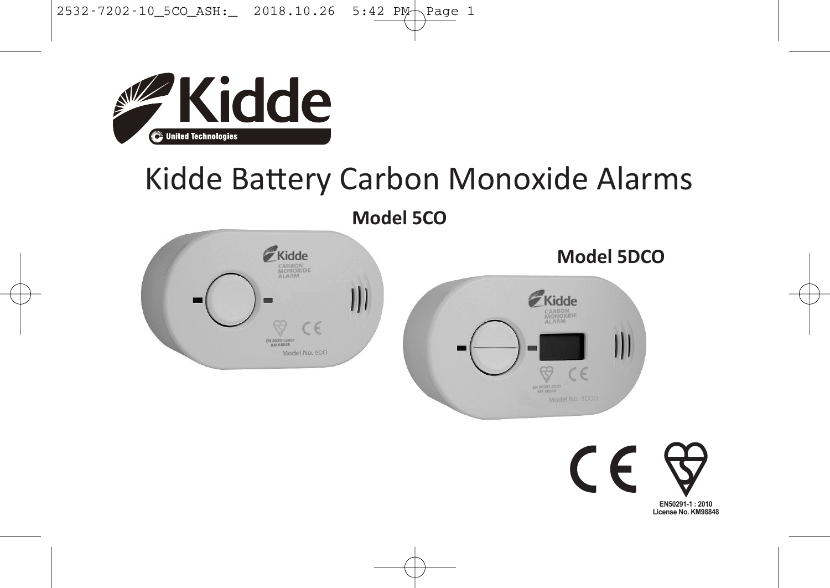

# Kidde Battery Carbon Monoxide Alarms

**Model 5CO**





 $\epsilon$ **EN50291-1 : 2010**

**License No. KM98848**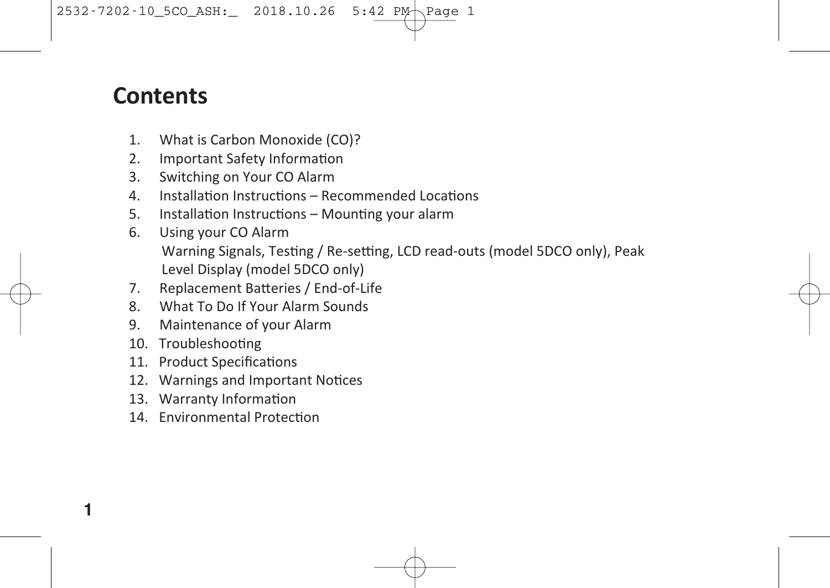#### **Contents**

- 1. What is Carbon Monoxide (CO)?
- 2. Important Safety Information
- 3. Switching on Your CO Alarm
- 4. Installation Instructions Recommended Locations
- 5. Installation Instructions Mounting your alarm
- 6. Using your CO Alarm Warning Signals, Testing / Re-setting, LCD read-outs (model 5DCO only), Peak Level Display (model 5DCO only)
- 7. Replacement Batteries / End-of-Life
- 8. What To Do If Your Alarm Sounds
- 9. Maintenance of your Alarm
- 10. Troubleshooting

- 11. Product Specifications
- 12. Warnings and Important Notices
- 13. Warranty Information
- 14. Environmental Protection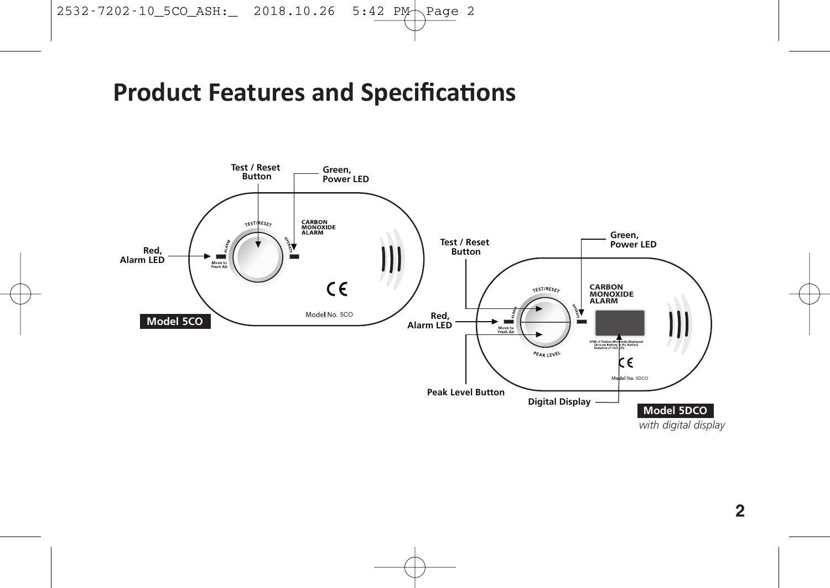# **Product Features and Specifications**

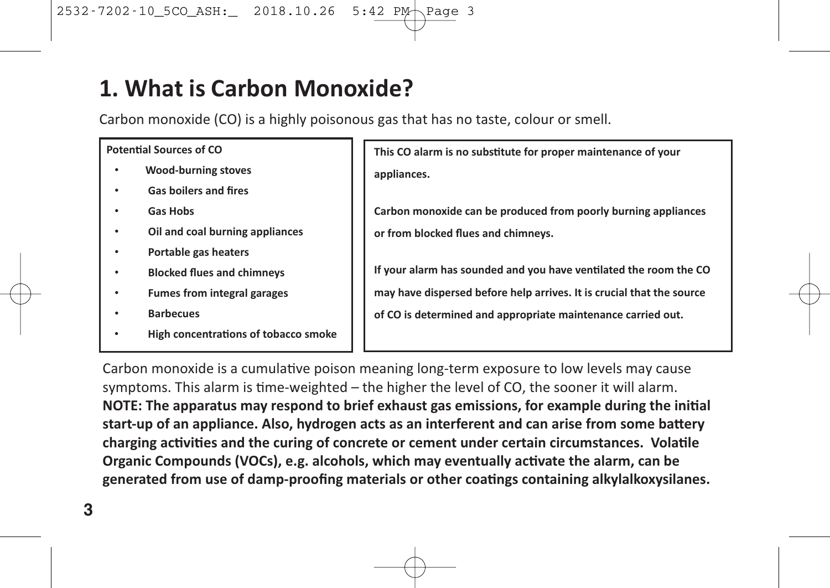### **1. What is Carbon Monoxide?**

Carbon monoxide (CO) is a highly poisonous gas that has no taste, colour or smell.

#### **Potential Sources of CO**

- **Wood-burning stoves**
- **Gas boilers and fires**
- **Gas Hobs**
- **Oil and coal burning appliances**
- **Portable gas heaters**
- **Blocked flues and chimneys**
- **Fumes from integral garages**
- **Barbecues**
- **High concentrations of tobacco smoke**

**This** CO alarm is no substitute for proper maintenance of your **appliances.**

**Carbon monoxide can be produced from poorly burning appliances or from blocked flues and chimneys.**

**If** your alarm has sounded and you have ventilated the room the CO **may have dispersed before help arrives. It is crucial that the source of CO is determined and appropriate maintenance carried out.**

Carbon monoxide is a cumulative poison meaning long-term exposure to low levels may cause symptoms. This alarm is time-weighted – the higher the level of CO, the sooner it will alarm. **NOTE: The apparatus may respond to brief exhaust gas emissions, for example during the ini/al start-up** of an appliance. Also, hydrogen acts as an interferent and can arise from some battery **charging** activities and the curing of concrete or cement under certain circumstances. Volatile **Organic Compounds (VOCs), e.g. alcohols, which may eventually ac/vate the alarm, can be generated from use of damp-proofing materials or other coa/ngs containing alkylalkoxysilanes.**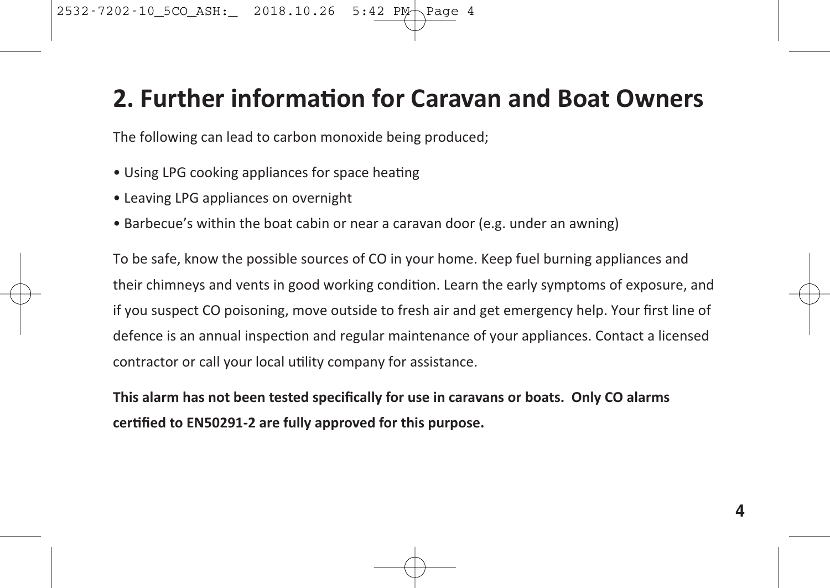#### **2. Further informa0on for Caravan and Boat Owners**

The following can lead to carbon monoxide being produced;

- Using LPG cooking appliances for space heating
- Leaving LPG appliances on overnight
- Barbecue's within the boat cabin or near a caravan door (e.g. under an awning)

To be safe, know the possible sources of CO in your home. Keep fuel burning appliances and their chimneys and vents in good working condition. Learn the early symptoms of exposure, and if you suspect CO poisoning, move outside to fresh air and get emergency help. Your first line of defence is an annual inspection and regular maintenance of your appliances. Contact a licensed contractor or call your local utility company for assistance.

**This alarm has not been tested specifically for use in caravans or boats. Only CO alarms certified to EN50291-2** are **fully** approved for this purpose.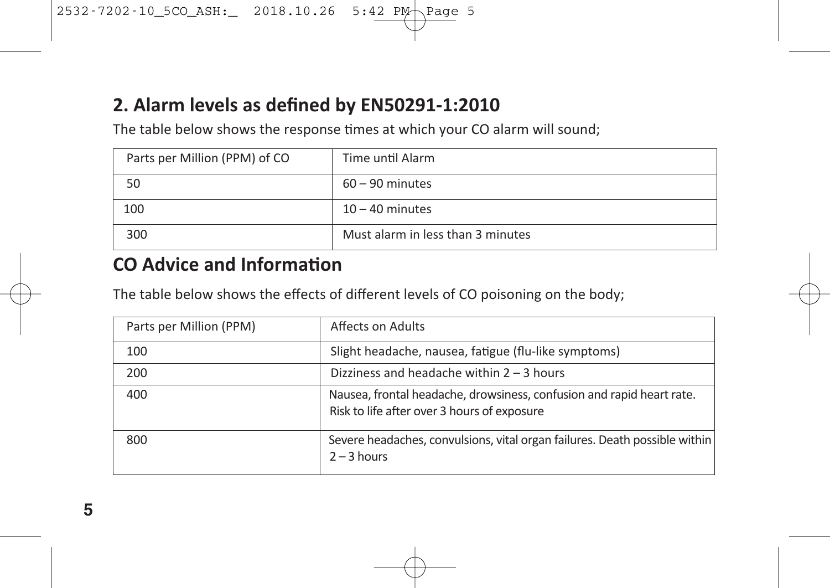#### **2. Alarm levels as defined by EN50291-1:2010**

The table below shows the response times at which your CO alarm will sound;

| Parts per Million (PPM) of CO | Time until Alarm                  |
|-------------------------------|-----------------------------------|
| 50                            | $60 - 90$ minutes                 |
| 100                           | $10 - 40$ minutes                 |
| 300                           | Must alarm in less than 3 minutes |

#### **CO** Advice and Information

The table below shows the effects of different levels of CO poisoning on the body;

| Parts per Million (PPM) | Affects on Adults                                                                                                    |
|-------------------------|----------------------------------------------------------------------------------------------------------------------|
| 100                     | Slight headache, nausea, fatigue (flu-like symptoms)                                                                 |
| 200                     | Dizziness and headache within $2 - 3$ hours                                                                          |
| 400                     | Nausea, frontal headache, drowsiness, confusion and rapid heart rate.<br>Risk to life after over 3 hours of exposure |
| 800                     | Severe headaches, convulsions, vital organ failures. Death possible within<br>$2 - 3$ hours                          |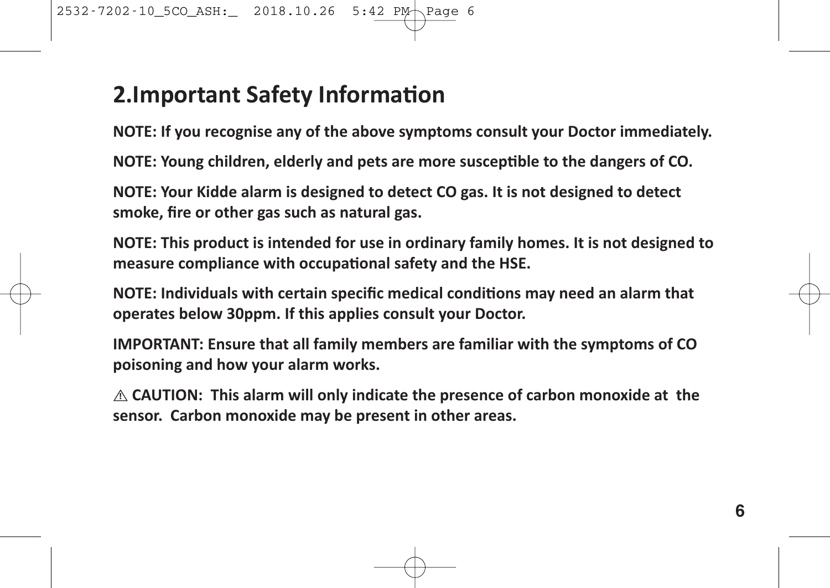### **2.Important Safety Information**

**NOTE: If you recognise any of the above symptoms consult your Doctor immediately.**

**NOTE: Young** children, elderly and pets are more susceptible to the dangers of CO.

**NOTE: Your Kidde alarm is designed to detect CO gas. It is not designed to detect smoke, fire or other gas such as natural gas.**

**NOTE: This product is intended for use in ordinary family homes. It is not designed to measure compliance with occupational safety and the HSE.** 

**NOTE: Individuals** with certain specific medical conditions may need an alarm that **operates below 30ppm. If this applies consult your Doctor.**

**IMPORTANT: Ensure that all family members are familiar with the symptoms of CO poisoning and how your alarm works.**

**CAUTION: This alarm will only indicate the presence of carbon monoxide at the ! sensor. Carbon monoxide may be present in other areas.**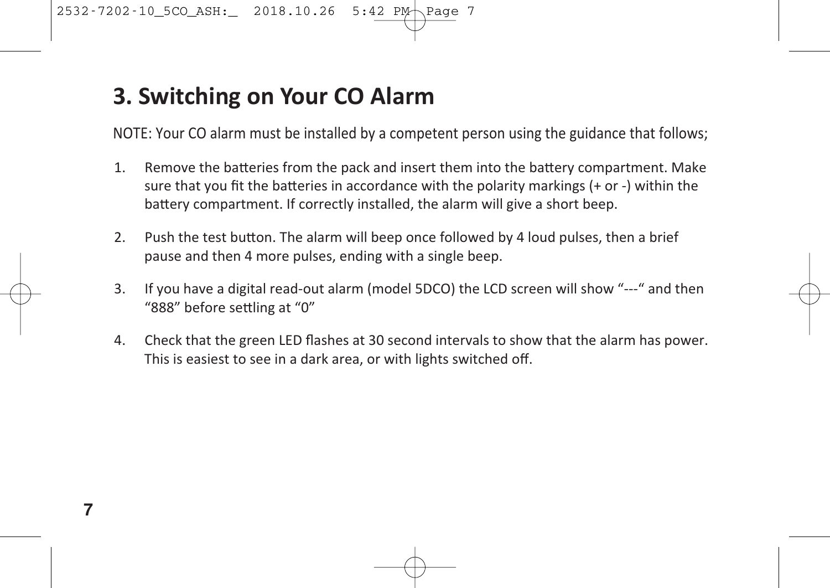### **3. Switching on Your CO Alarm**

NOTE: Your CO alarm must be installed by a competent person using the guidance that follows;

- 1. Remove the batteries from the pack and insert them into the battery compartment. Make sure that you fit the batteries in accordance with the polarity markings (+ or -) within the battery compartment. If correctly installed, the alarm will give a short beep.
- 2. Push the test button. The alarm will beep once followed by 4 loud pulses, then a brief pause and then 4 more pulses, ending with a single beep.
- 3. If you have a digital read-out alarm (model 5DCO) the LCD screen will show "---" and then "888" before settling at "0"
- 4. Check that the green LED flashes at 30 second intervals to show that the alarm has power. This is easiest to see in a dark area, or with lights switched off.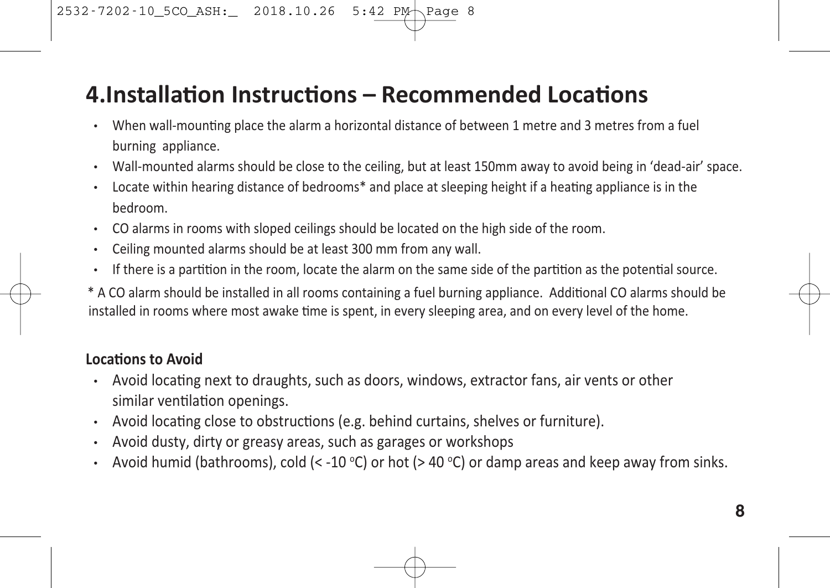### **4.Installation Instructions – Recommended Locations**

- When wall-mounting place the alarm a horizontal distance of between 1 metre and 3 metres from a fuel burning appliance.
- Wall-mounted alarms should be close to the ceiling, but at least 150mm away to avoid being in 'dead-air' space.
- Locate within hearing distance of bedrooms<sup>\*</sup> and place at sleeping height if a heating appliance is in the bedroom.
- CO alarms in rooms with sloped ceilings should be located on the high side of the room.
- Ceiling mounted alarms should be at least 300 mm from any wall.
- $\cdot$  If there is a partition in the room, locate the alarm on the same side of the partition as the potential source.
- \* A CO alarm should be installed in all rooms containing a fuel burning appliance. Additional CO alarms should be installed in rooms where most awake time is spent, in every sleeping area, and on every level of the home.

#### **Locations** to **Avoid**

- Avoid locating next to draughts, such as doors, windows, extractor fans, air vents or other similar ventilation openings.
- $\cdot$  Avoid locating close to obstructions (e.g. behind curtains, shelves or furniture).
- Avoid dusty, dirty or greasy areas, such as garages or workshops
- $\,$  Avoid humid (bathrooms), cold (< -10 °C) or hot (> 40 °C) or damp areas and keep away from sinks.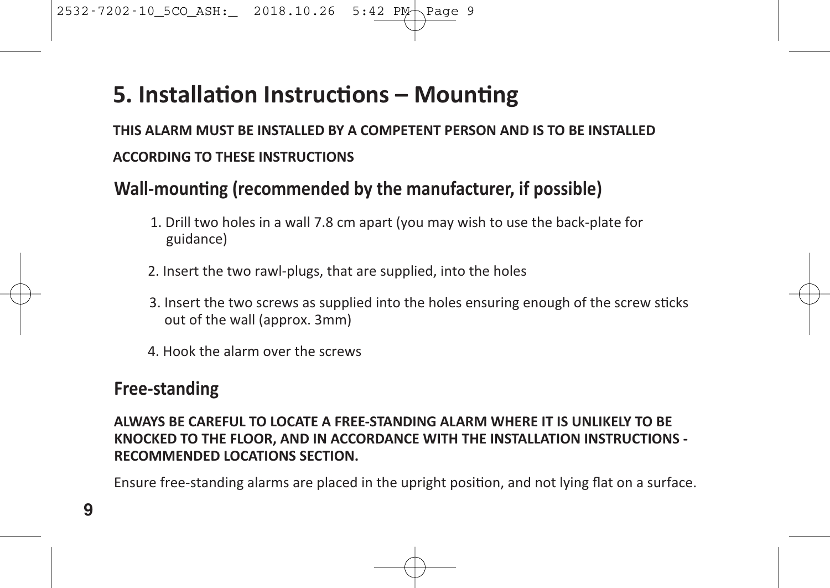### **5.** Installation Instructions - Mounting

**THIS ALARM MUST BE INSTALLED BY A COMPETENT PERSON AND IS TO BE INSTALLED ACCORDING TO THESE INSTRUCTIONS**

#### **Wall-mounting (recommended by the manufacturer, if possible)**

- 1. Drill two holes in a wall 7.8 cm apart (you may wish to use the back-plate for guidance)
- 2. Insert the two rawl-plugs, that are supplied, into the holes
- 3. Insert the two screws as supplied into the holes ensuring enough of the screw sticks out of the wall (approx. 3mm)
- 4. Hook the alarm over the screws

#### **Free-standing**

**ALWAYS BE CAREFUL TO LOCATE A FREE-STANDING ALARM WHERE IT IS UNLIKELY TO BE KNOCKED TO THE FLOOR, AND IN ACCORDANCE WITH THE INSTALLATION INSTRUCTIONS - RECOMMENDED LOCATIONS SECTION.**

Ensure free-standing alarms are placed in the upright position, and not lying flat on a surface.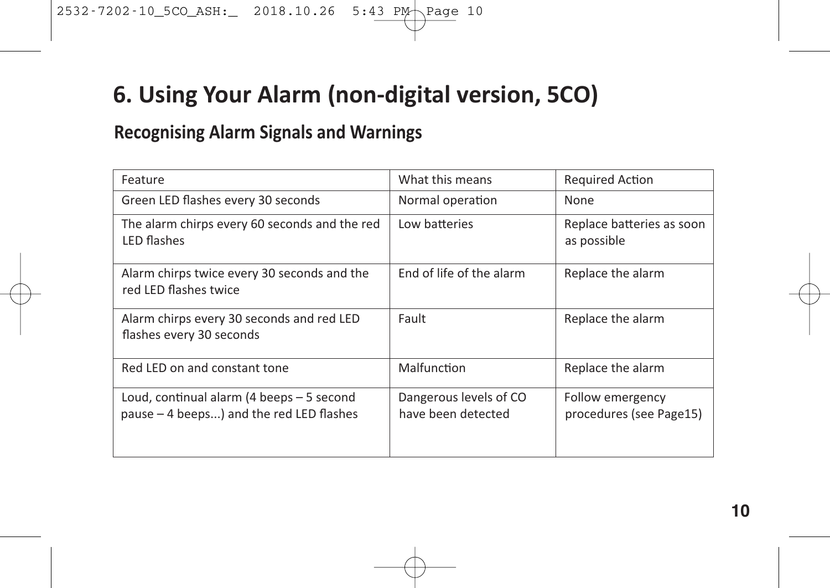### **6. Using Your Alarm (non-digital version, 5CO)**

#### **Recognising Alarm Signals and Warnings**

| Feature                                                                               | What this means                              | <b>Required Action</b>                      |
|---------------------------------------------------------------------------------------|----------------------------------------------|---------------------------------------------|
| Green LED flashes every 30 seconds                                                    | Normal operation                             | None                                        |
| The alarm chirps every 60 seconds and the red<br><b>LED flashes</b>                   | Low batteries                                | Replace batteries as soon<br>as possible    |
| Alarm chirps twice every 30 seconds and the<br>red LED flashes twice                  | End of life of the alarm                     | Replace the alarm                           |
| Alarm chirps every 30 seconds and red LED<br>flashes every 30 seconds                 | Fault                                        | Replace the alarm                           |
| Red LED on and constant tone                                                          | Malfunction                                  | Replace the alarm                           |
| Loud, continual alarm (4 beeps - 5 second<br>pause - 4 beeps) and the red LED flashes | Dangerous levels of CO<br>have been detected | Follow emergency<br>procedures (see Page15) |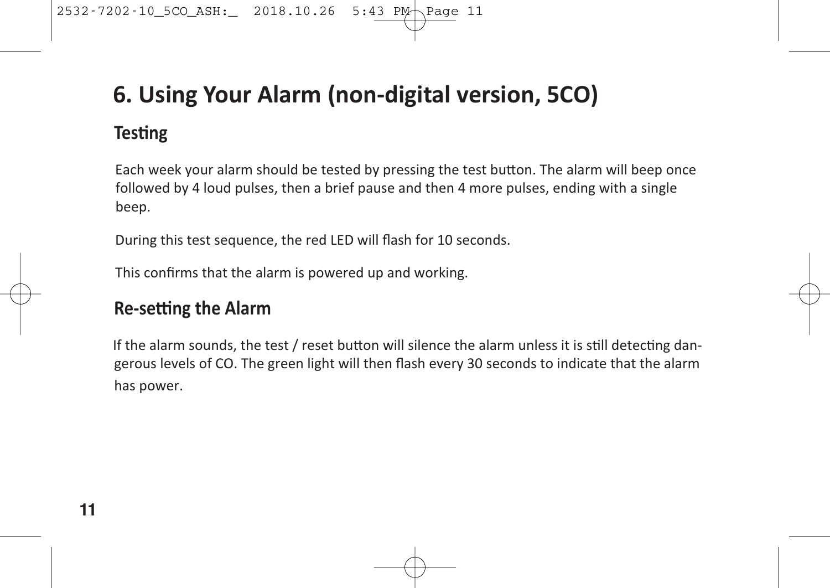### **6. Using Your Alarm (non-digital version, 5CO)**

#### **Testing**

Each week your alarm should be tested by pressing the test button. The alarm will beep once followed by 4 loud pulses, then a brief pause and then 4 more pulses, ending with a single beep.

During this test sequence, the red LED will flash for 10 seconds.

This confirms that the alarm is powered up and working.

#### **Re-setting the Alarm**

If the alarm sounds, the test  $/$  reset button will silence the alarm unless it is still detecting dangerous levels of CO. The green light will then flash every 30 seconds to indicate that the alarm has power.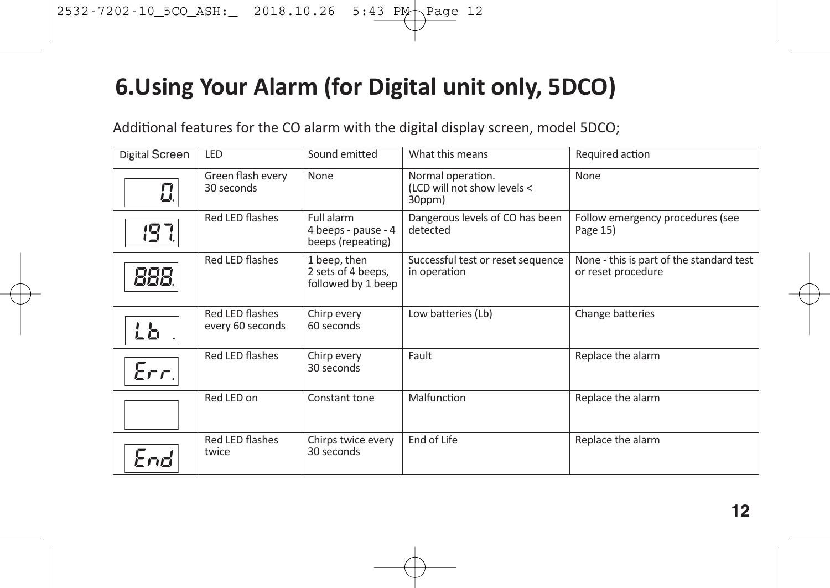### **6.Using Your Alarm (for Digital unit only, 5DCO)**

Additional features for the CO alarm with the digital display screen, model 5DCO;

| Digital Screen<br>LED<br>Sound emitted<br>What this means<br>Required action<br>Green flash every<br>Normal operation.<br>None<br>None<br>$\mathbf{u}$<br>30 seconds<br>(LCD will not show levels <<br>30ppm)<br>Red LED flashes<br>Full alarm<br>Dangerous levels of CO has been<br>Follow emergency procedures (see<br>197.<br>detected<br>4 beeps - pause - 4<br>Page 15)<br>beeps (repeating)<br>Red LED flashes<br>1 beep, then<br>Successful test or reset sequence<br>888.<br>2 sets of 4 beeps,<br>in operation<br>or reset procedure<br>followed by 1 beep<br>Red LED flashes<br>Low batteries (Lb)<br>Change batteries<br>Chirp every<br>60 seconds<br>every 60 seconds<br>しと<br>Red LED flashes<br>Fault<br>Replace the alarm<br>Chirp every<br>Err.<br>30 seconds<br>Red LED on<br>Malfunction<br>Replace the alarm<br>Constant tone<br>Red LED flashes<br>End of Life<br>Chirps twice every<br>Replace the alarm<br>30 seconds<br>twice<br>End |  |  |                                          |
|-------------------------------------------------------------------------------------------------------------------------------------------------------------------------------------------------------------------------------------------------------------------------------------------------------------------------------------------------------------------------------------------------------------------------------------------------------------------------------------------------------------------------------------------------------------------------------------------------------------------------------------------------------------------------------------------------------------------------------------------------------------------------------------------------------------------------------------------------------------------------------------------------------------------------------------------------------------|--|--|------------------------------------------|
|                                                                                                                                                                                                                                                                                                                                                                                                                                                                                                                                                                                                                                                                                                                                                                                                                                                                                                                                                             |  |  |                                          |
|                                                                                                                                                                                                                                                                                                                                                                                                                                                                                                                                                                                                                                                                                                                                                                                                                                                                                                                                                             |  |  |                                          |
|                                                                                                                                                                                                                                                                                                                                                                                                                                                                                                                                                                                                                                                                                                                                                                                                                                                                                                                                                             |  |  |                                          |
|                                                                                                                                                                                                                                                                                                                                                                                                                                                                                                                                                                                                                                                                                                                                                                                                                                                                                                                                                             |  |  | None - this is part of the standard test |
|                                                                                                                                                                                                                                                                                                                                                                                                                                                                                                                                                                                                                                                                                                                                                                                                                                                                                                                                                             |  |  |                                          |
|                                                                                                                                                                                                                                                                                                                                                                                                                                                                                                                                                                                                                                                                                                                                                                                                                                                                                                                                                             |  |  |                                          |
|                                                                                                                                                                                                                                                                                                                                                                                                                                                                                                                                                                                                                                                                                                                                                                                                                                                                                                                                                             |  |  |                                          |
|                                                                                                                                                                                                                                                                                                                                                                                                                                                                                                                                                                                                                                                                                                                                                                                                                                                                                                                                                             |  |  |                                          |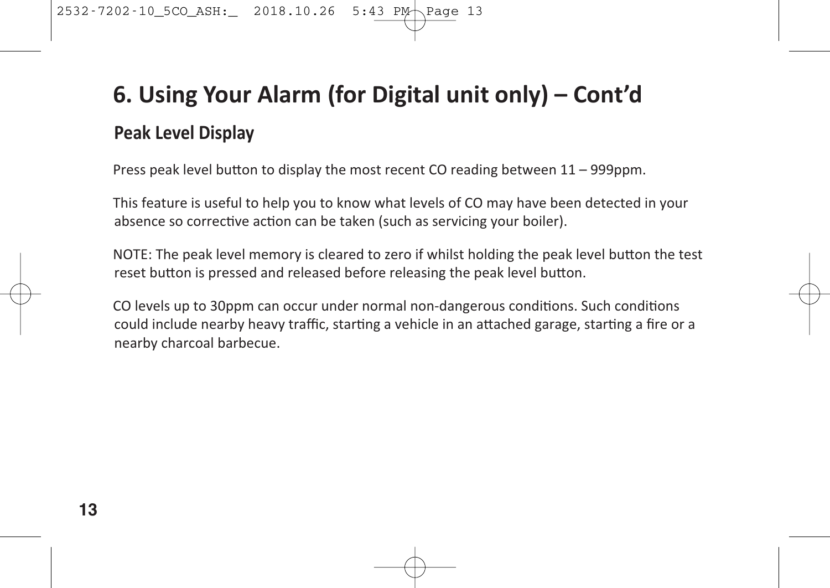# **6. Using Your Alarm (for Digital unit only) – Cont'd Peak Level Display**

Press peak level button to display the most recent CO reading between  $11 - 999$ ppm.

This feature is useful to help you to know what levels of CO may have been detected in your absence so corrective action can be taken (such as servicing your boiler).

NOTE: The peak level memory is cleared to zero if whilst holding the peak level button the test reset button is pressed and released before releasing the peak level button.

CO levels up to 30ppm can occur under normal non-dangerous conditions. Such conditions could include nearby heavy traffic, starting a vehicle in an attached garage, starting a fire or a nearby charcoal barbecue.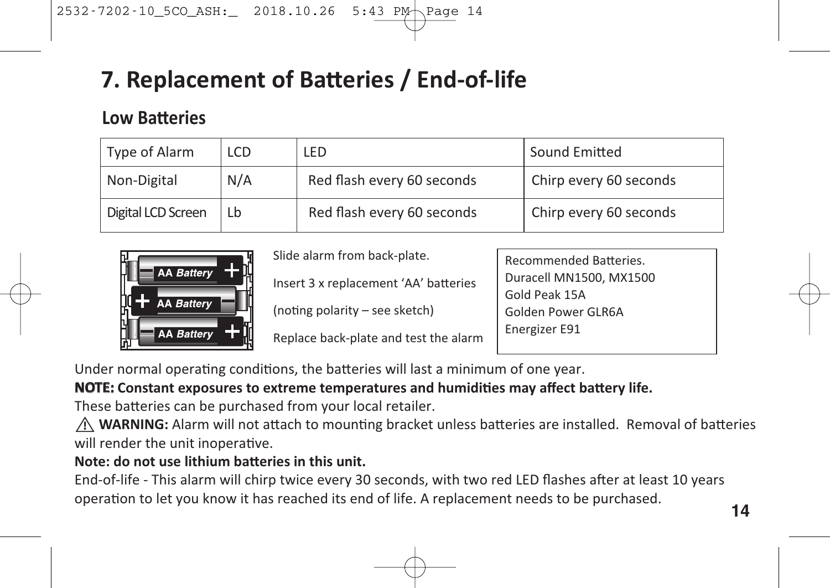# **7. Replacement of Ba1eries / End-of-life**

#### **Low Batteries**

| Type of Alarm      | LCD                               | LED                        | Sound Emitted          |
|--------------------|-----------------------------------|----------------------------|------------------------|
| Non-Digital        | N/A<br>Red flash every 60 seconds |                            | Chirp every 60 seconds |
| Digital LCD Screen | Lb                                | Red flash every 60 seconds | Chirp every 60 seconds |



Slide alarm from back-plate.

Insert 3 x replacement 'AA' batteries

(noting polarity – see sketch)

Replace back-plate and test the alarm

Recommended Batteries Duracell MN1500, MX1500 Gold Peak 15A Golden Power GLR6A Energizer E91

Under normal operating conditions, the batteries will last a minimum of one year.

#### **NOTE:** Constant exposures to extreme temperatures and humidities may affect battery life.

These batteries can be purchased from your local retailer.

 $\underline{\hat{N}}$  **WARNING:** Alarm will not attach to mounting bracket unless batteries are installed. Removal of batteries will render the unit inoperative.

#### **Note: do** not use lithium batteries in this unit.

End-of-life - This alarm will chirp twice every 30 seconds, with two red LED flashes after at least 10 years operation to let you know it has reached its end of life. A replacement needs to be purchased.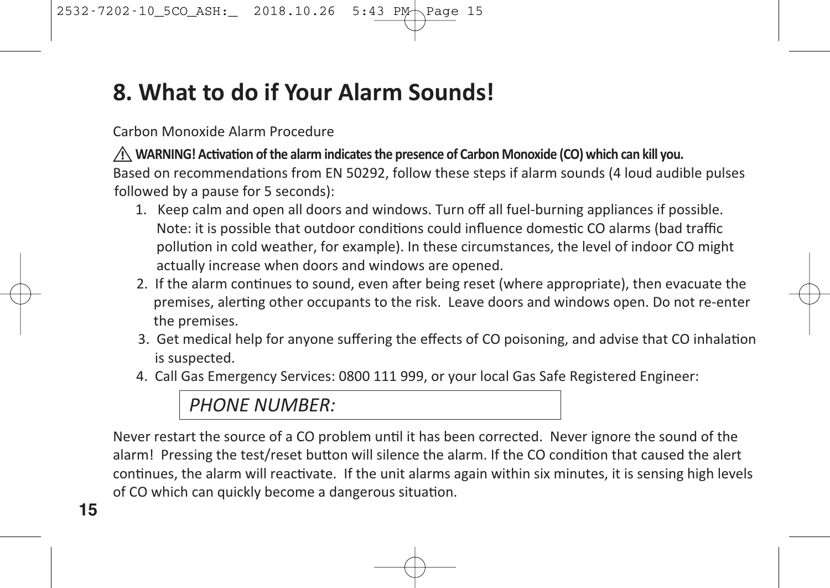# **8. What to do if Your Alarm Sounds!**

#### Carbon Monoxide Alarm Procedure

 $\underline{\hat{Y}}$  WARNING! Activation of the alarm indicates the presence of Carbon Monoxide (CO) which can kill you. Based on recommendations from EN 50292, follow these steps if alarm sounds (4 loud audible pulses followed by a pause for 5 seconds):

- 1. Keep calm and open all doors and windows. Turn off all fuel-burning appliances if possible. Note: it is possible that outdoor conditions could influence domestic CO alarms (bad traffic pollution in cold weather, for example). In these circumstances, the level of indoor CO might actually increase when doors and windows are opened.
- 2. If the alarm continues to sound, even after being reset (where appropriate), then evacuate the premises, alerting other occupants to the risk. Leave doors and windows open. Do not re-enter the premises.
- 3. Get medical help for anyone suffering the effects of CO poisoning, and advise that CO inhalation is suspected.
- 4. Call Gas Emergency Services: 0800 111 999, or your local Gas Safe Registered Engineer:

#### *PHONE NUMBER:*

Never restart the source of a CO problem until it has been corrected. Never ignore the sound of the alarm! Pressing the test/reset button will silence the alarm. If the CO condition that caused the alert continues, the alarm will reactivate. If the unit alarms again within six minutes, it is sensing high levels of CO which can quickly become a dangerous situation.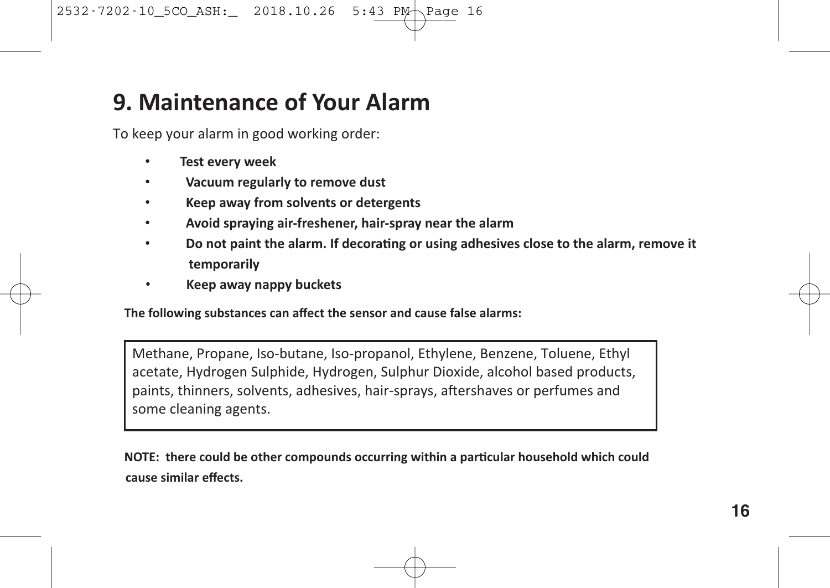#### **9. Maintenance of Your Alarm**

To keep your alarm in good working order:

- **Test every week**
- **Vacuum regularly to remove dust**
- **Keep away from solvents or detergents**
- **Avoid spraying air-freshener, hair-spray near the alarm**
- **Do not paint the alarm. If decora0ng or using adhesives close to the alarm, remove it temporarily**
- **Keep away nappy buckets**

**The following substances can affect the sensor and cause false alarms:**

Methane, Propane, Iso-butane, Iso-propanol, Ethylene, Benzene, Toluene, Ethyl acetate, Hydrogen Sulphide, Hydrogen, Sulphur Dioxide, alcohol based products, paints, thinners, solvents, adhesives, hair-sprays, aftershaves or perfumes and some cleaning agents.

**NOTE:** there could be other compounds occurring within a particular household which could **cause similar effects.**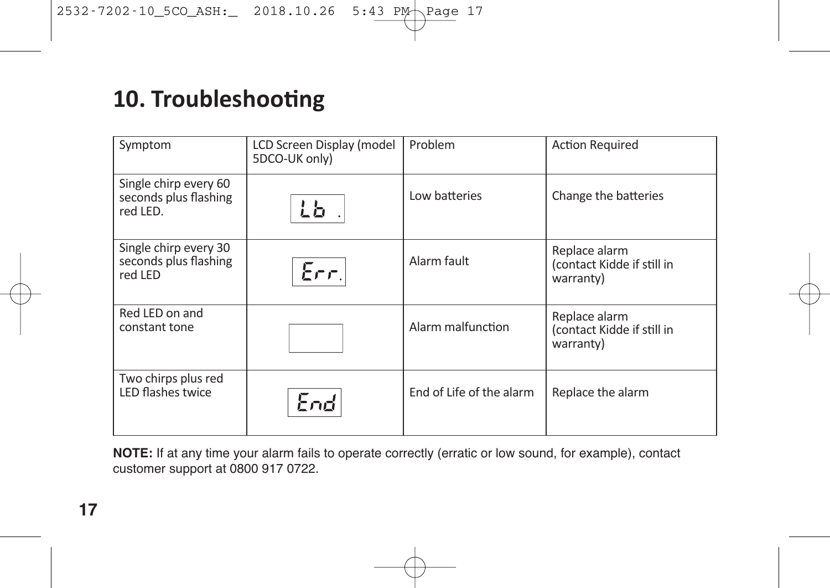# **10. Troubleshooting**

| Symptom                                                    | LCD Screen Display (model<br>5DCO-UK only) | Problem                  | <b>Action Required</b>                                   |
|------------------------------------------------------------|--------------------------------------------|--------------------------|----------------------------------------------------------|
| Single chirp every 60<br>seconds plus flashing<br>red LED. | ட்ப                                        | Low batteries            | Change the batteries                                     |
| Single chirp every 30<br>seconds plus flashing<br>red LED  | Err.                                       | Alarm fault              | Replace alarm<br>(contact Kidde if still in<br>warranty) |
| Red LED on and<br>constant tone                            |                                            | Alarm malfunction        | Replace alarm<br>(contact Kidde if still in<br>warranty) |
| Two chirps plus red<br>LED flashes twice                   | End                                        | End of Life of the alarm | Replace the alarm                                        |

**NOTE:** If at any time your alarm fails to operate correctly (erratic or low sound, for example), contact customer support at 0800 917 0722.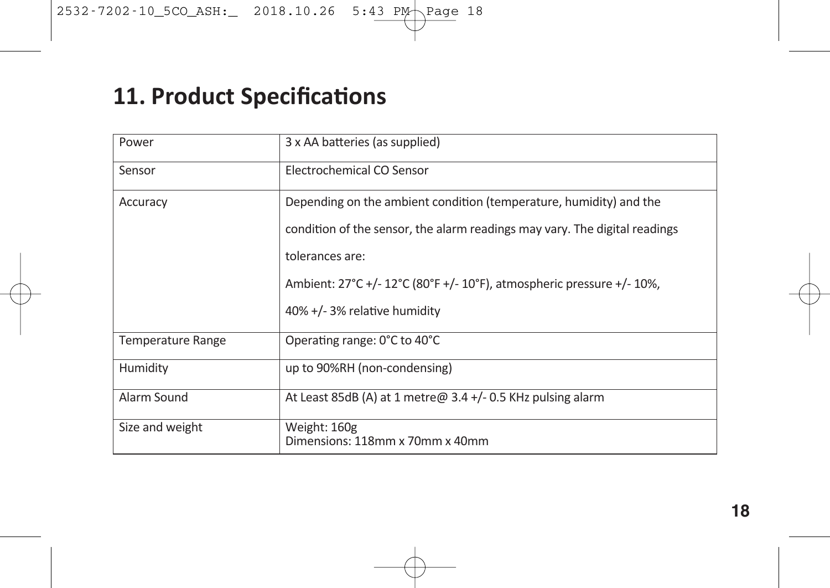# **11. Product Specifications**

| Power                    | 3 x AA batteries (as supplied)                                             |
|--------------------------|----------------------------------------------------------------------------|
| Sensor                   | Electrochemical CO Sensor                                                  |
| Accuracy                 | Depending on the ambient condition (temperature, humidity) and the         |
|                          | condition of the sensor, the alarm readings may vary. The digital readings |
|                          | tolerances are:                                                            |
|                          | Ambient: 27°C +/- 12°C (80°F +/- 10°F), atmospheric pressure +/- 10%,      |
|                          | 40% +/- 3% relative humidity                                               |
| <b>Temperature Range</b> | Operating range: 0°C to 40°C                                               |
| Humidity                 | up to 90%RH (non-condensing)                                               |
| Alarm Sound              | At Least 85dB (A) at 1 metre $\omega$ 3.4 +/- 0.5 KHz pulsing alarm        |
| Size and weight          | Weight: 160g<br>Dimensions: 118mm x 70mm x 40mm                            |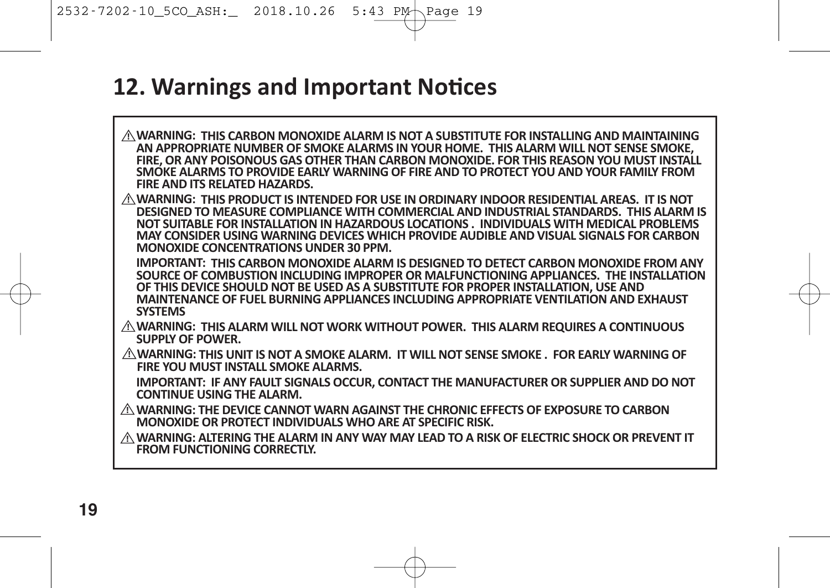### **12. Warnings and Important Notices**

**WARNING: THIS CARBON MONOXIDE ALARM IS NOT A SUBSTITUTE FOR INSTALLING AND MAINTAINING !** AN APPROPRIATE NUMBER OF SMOKE ALARMS IN YOUR HOME. THIS ALARM WILL NOT SENSE SMOKE,<br>FIRE. OR ANY POISONOUS GAS OTHER THAN CARBON MONOXIDE. FOR THIS REASON YOU MUST INSTALL **SMOKE ALARMS TO PROVIDE EARLY WARNING OF FIRE AND TO PROTECT YOU AND YOUR FAMILY FROM FIRE AND ITS RELATED HAZARDS. WARNING: THIS PRODUCT IS INTENDED FOR USE IN ORDINARY INDOOR RESIDENTIAL AREAS. IT IS NOT ! DESIGNED TO MEASURE COMPLIANCE WITH COMMERCIAL AND INDUSTRIAL STANDARDS. THIS ALARM IS NOT SUITABLE FOR INSTALLATION IN HAZARDOUS LOCATIONS . INDIVIDUALS WITH MEDICAL PROBLEMS MAY CONSIDER USING WARNING DEVICES WHICH PROVIDE AUDIBLE AND VISUAL SIGNALS FOR CARBON MONOXIDE CONCENTRATIONS UNDER 30 PPM. IMPORTANT: THIS CARBON MONOXIDE ALARM IS DESIGNED TO DETECT CARBON MONOXIDE FROM ANY SOURCE OF COMBUSTION INCLUDING IMPROPER OR MALFUNCTIONING APPLIANCES. THE INSTALLATION OF THIS DEVICE SHOULD NOT BE USED AS A SUBSTITUTE FOR PROPER INSTALLATION, USE AND MAINTENANCE OF FUEL BURNING APPLIANCES INCLUDING APPROPRIATE VENTILATION AND EXHAUST SYSTEMS WARNING: THIS ALARM WILL NOT WORK WITHOUT POWER. THIS ALARM REQUIRES A CONTINUOUS ! SUPPLY OF POWER.**  $\hat{C}$  WARNING: THIS UNIT IS NOT A SMOKE ALARM. IT WILL NOT SENSE SMOKE . FOR EARLY WARNING OF **FIRE YOU MUST INSTALL SMOKE ALARMS. IMPORTANT: IF ANY FAULT SIGNALS OCCUR, CONTACT THE MANUFACTURER OR SUPPLIER AND DO NOT CONTINUE USING THE ALARM. WARNING: THE DEVICE CANNOT WARN AGAINST THE CHRONIC EFFECTS OF EXPOSURE TO CARBON ! MONOXIDE OR PROTECT INDIVIDUALS WHO ARE AT SPECIFIC RISK. WARNING: ALTERING THE ALARM IN ANY WAY MAY LEAD TO A RISK OF ELECTRIC SHOCK OR PREVENT IT ! FROM FUNCTIONING CORRECTLY.**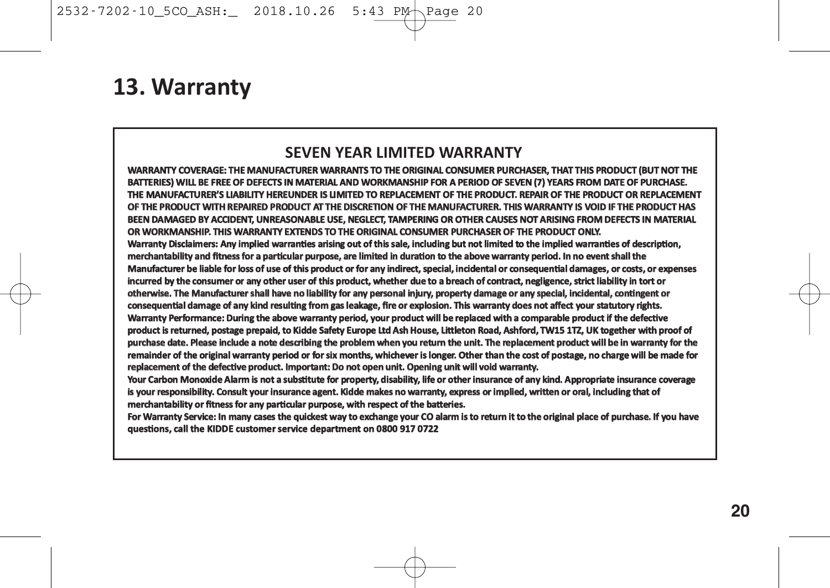#### **13. Warranty**

#### **SEVEN YEAR LIMITED WARRANTY**

**WARRANTY COVERAGE: THE MANUFACTURER WARRANTS TO THE ORIGINAL CONSUMER PURCHASER, THAT THIS PRODUCT (BUT NOT THE BATTERIES) WILL BE FREE OF DEFECTS IN MATERIAL AND WORKMANSHIP FOR A PERIOD OF SEVEN (7) YEARS FROM DATE OF PURCHASE. THE MANUFACTURER'S LIABILITY HEREUNDER IS LIMITED TO REPLACEMENT OF THE PRODUCT. REPAIR OF THE PRODUCT OR REPLACEMENT OF THE PRODUCT WITH REPAIRED PRODUCT AT THE DISCRETION OF THE MANUFACTURER. THIS WARRANTY IS VOID IF THE PRODUCT HAS BEEN DAMAGED BY ACCIDENT, UNREASONABLE USE, NEGLECT, TAMPERING OR OTHER CAUSES NOT ARISING FROM DEFECTS IN MATERIAL OR WORKMANSHIP. THIS WARRANTY EXTENDS TO THE ORIGINAL CONSUMER PURCHASER OF THE PRODUCT ONLY.** Warranty Disclaimers: Any implied warranties arising out of this sale, including but not limited to the implied warranties of description, merchantability and fitness for a particular purpose, are limited in duration to the above warranty period. In no event shall the Manufacturer be liable for loss of use of this product or for any indirect, special, incidental or consequential damages, or costs, or expenses **incurred by the consumer or any other user of this product, whether due to a breach of contract, negligence, strict liability in tort or** otherwise. The Manufacturer shall have no liability for any personal injury, property damage or any special, incidental, contingent or **consequen/al damage of any kind resul/ng from gas leakage, fire or explosion. This warranty does not affect your statutory rights. Warranty Performance: During the above warranty period, your product will be replaced with a comparable product if the defec/ve** product is returned, postage prepaid, to Kidde Safety Europe Ltd Ash House, Littleton Road, Ashford, TW15 1TZ, UK together with proof of **purchase date. Please include a note describing the problem when you return the unit. The replacement product will be in warranty for the remainder of the original warranty period or for six months, whichever is longer. Other than the cost of postage, no charge will be made for** replacement of the defective product. Important: Do not open unit. Opening unit will void warranty.

Your Carbon Monoxide Alarm is not a substitute for property, disability, life or other insurance of any kind. Appropriate insurance coverage is your responsibility. Consult your insurance agent. Kidde makes no warranty, express or implied, written or oral, including that of merchantability or fitness for any particular purpose, with respect of the batteries.

**For Warranty Service: In many cases the quickest way to exchange your CO alarm is to return it to the original place of purchase. If you have** questions, call the KIDDE customer service department on 0800 917 0722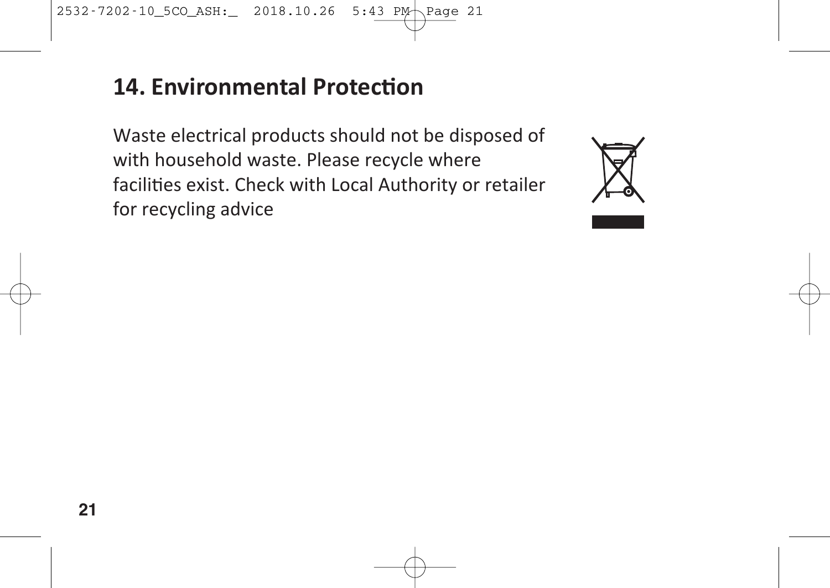### **14. Environmental Protection**

Waste electrical products should not be disposed of with household waste. Please recycle where facilities exist. Check with Local Authority or retailer for recycling advice